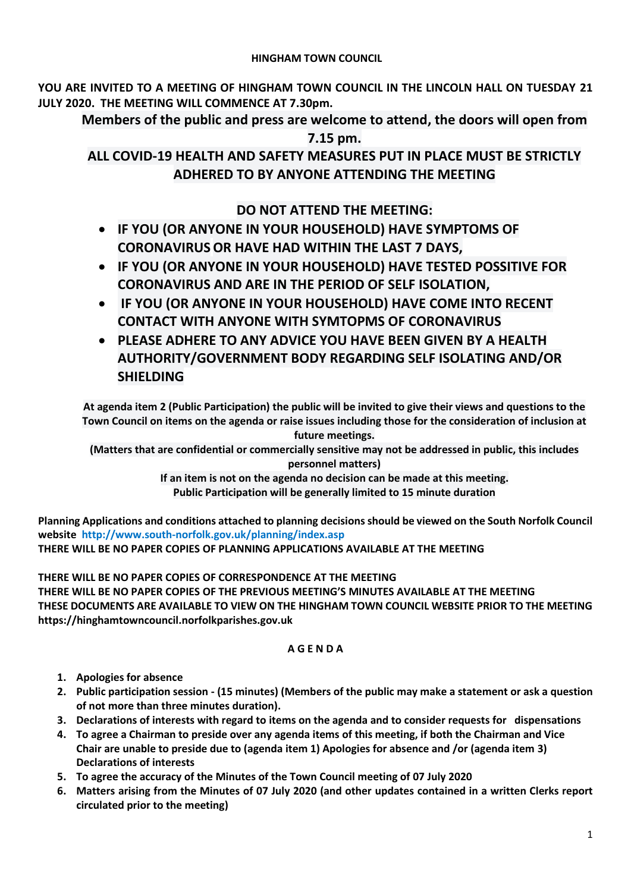# **HINGHAM TOWN COUNCIL**

**YOU ARE INVITED TO A MEETING OF HINGHAM TOWN COUNCIL IN THE LINCOLN HALL ON TUESDAY 21 JULY 2020. THE MEETING WILL COMMENCE AT 7.30pm.** 

**Members of the public and press are welcome to attend, the doors will open from** 

**7.15 pm.**

**ALL COVID-19 HEALTH AND SAFETY MEASURES PUT IN PLACE MUST BE STRICTLY ADHERED TO BY ANYONE ATTENDING THE MEETING**

# **DO NOT ATTEND THE MEETING:**

- **IF YOU (OR ANYONE IN YOUR HOUSEHOLD) HAVE SYMPTOMS OF CORONAVIRUS OR HAVE HAD WITHIN THE LAST 7 DAYS,**
- **IF YOU (OR ANYONE IN YOUR HOUSEHOLD) HAVE TESTED POSSITIVE FOR CORONAVIRUS AND ARE IN THE PERIOD OF SELF ISOLATION,**
- **IF YOU (OR ANYONE IN YOUR HOUSEHOLD) HAVE COME INTO RECENT CONTACT WITH ANYONE WITH SYMTOPMS OF CORONAVIRUS**
- **PLEASE ADHERE TO ANY ADVICE YOU HAVE BEEN GIVEN BY A HEALTH AUTHORITY/GOVERNMENT BODY REGARDING SELF ISOLATING AND/OR SHIELDING**

**At agenda item 2 (Public Participation) the public will be invited to give their views and questions to the Town Council on items on the agenda or raise issues including those for the consideration of inclusion at future meetings.**

**(Matters that are confidential or commercially sensitive may not be addressed in public, this includes personnel matters)**

> **If an item is not on the agenda no decision can be made at this meeting. Public Participation will be generally limited to 15 minute duration**

**Planning Applications and conditions attached to planning decisions should be viewed on the South Norfolk Council website <http://www.south-norfolk.gov.uk/planning/index.asp>**

**THERE WILL BE NO PAPER COPIES OF PLANNING APPLICATIONS AVAILABLE AT THE MEETING**

**THERE WILL BE NO PAPER COPIES OF CORRESPONDENCE AT THE MEETING THERE WILL BE NO PAPER COPIES OF THE PREVIOUS MEETING'S MINUTES AVAILABLE AT THE MEETING THESE DOCUMENTS ARE AVAILABLE TO VIEW ON THE HINGHAM TOWN COUNCIL WEBSITE PRIOR TO THE MEETING https://hinghamtowncouncil.norfolkparishes.gov.uk**

# **A G E N D A**

- **1. Apologies for absence**
- **2. Public participation session - (15 minutes) (Members of the public may make a statement or ask a question of not more than three minutes duration).**
- **3. Declarations of interests with regard to items on the agenda and to consider requests for dispensations**
- **4. To agree a Chairman to preside over any agenda items of this meeting, if both the Chairman and Vice Chair are unable to preside due to (agenda item 1) Apologies for absence and /or (agenda item 3) Declarations of interests**
- **5. To agree the accuracy of the Minutes of the Town Council meeting of 07 July 2020**
- **6. Matters arising from the Minutes of 07 July 2020 (and other updates contained in a written Clerks report circulated prior to the meeting)**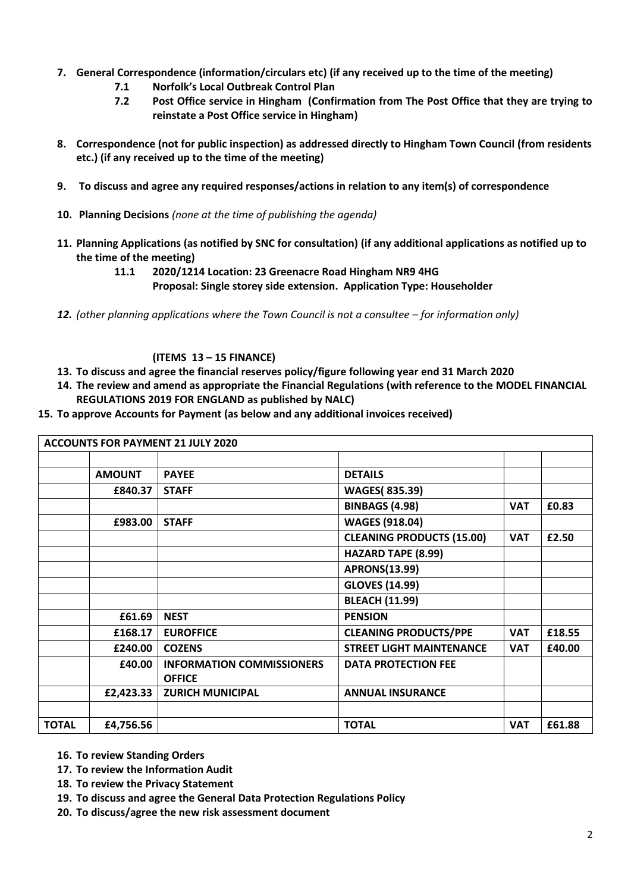- **7. General Correspondence (information/circulars etc) (if any received up to the time of the meeting)**
	- **7.1 Norfolk's Local Outbreak Control Plan**
	- **7.2 Post Office service in Hingham (Confirmation from The Post Office that they are trying to reinstate a Post Office service in Hingham)**
- **8. Correspondence (not for public inspection) as addressed directly to Hingham Town Council (from residents etc.) (if any received up to the time of the meeting)**
- **9. To discuss and agree any required responses/actions in relation to any item(s) of correspondence**
- **10. Planning Decisions** *(none at the time of publishing the agenda)*
- **11. Planning Applications (as notified by SNC for consultation) (if any additional applications as notified up to the time of the meeting)**
	- **11.1 2020/1214 Location: 23 Greenacre Road Hingham NR9 4HG Proposal: Single storey side extension. Application Type: Householder**
- **12.** *(other planning applications where the Town Council is not a consultee for information only)*

# **(ITEMS 13 – 15 FINANCE)**

- **13. To discuss and agree the financial reserves policy/figure following year end 31 March 2020**
- **14. The review and amend as appropriate the Financial Regulations (with reference to the MODEL FINANCIAL REGULATIONS 2019 FOR ENGLAND as published by NALC)**
- **15. To approve Accounts for Payment (as below and any additional invoices received)**

| <b>ACCOUNTS FOR PAYMENT 21 JULY 2020</b> |               |                                  |                                  |            |        |
|------------------------------------------|---------------|----------------------------------|----------------------------------|------------|--------|
|                                          |               |                                  |                                  |            |        |
|                                          | <b>AMOUNT</b> | <b>PAYEE</b>                     | <b>DETAILS</b>                   |            |        |
|                                          | £840.37       | <b>STAFF</b>                     | <b>WAGES(835.39)</b>             |            |        |
|                                          |               |                                  | <b>BINBAGS (4.98)</b>            | <b>VAT</b> | £0.83  |
|                                          | £983.00       | <b>STAFF</b>                     | <b>WAGES (918.04)</b>            |            |        |
|                                          |               |                                  | <b>CLEANING PRODUCTS (15.00)</b> | <b>VAT</b> | £2.50  |
|                                          |               |                                  | <b>HAZARD TAPE (8.99)</b>        |            |        |
|                                          |               |                                  | <b>APRONS(13.99)</b>             |            |        |
|                                          |               |                                  | <b>GLOVES (14.99)</b>            |            |        |
|                                          |               |                                  | <b>BLEACH (11.99)</b>            |            |        |
|                                          | £61.69        | <b>NEST</b>                      | <b>PENSION</b>                   |            |        |
|                                          | £168.17       | <b>EUROFFICE</b>                 | <b>CLEANING PRODUCTS/PPE</b>     | <b>VAT</b> | £18.55 |
|                                          | £240.00       | <b>COZENS</b>                    | <b>STREET LIGHT MAINTENANCE</b>  | <b>VAT</b> | £40.00 |
|                                          | £40.00        | <b>INFORMATION COMMISSIONERS</b> | <b>DATA PROTECTION FEE</b>       |            |        |
|                                          |               | <b>OFFICE</b>                    |                                  |            |        |
|                                          | £2,423.33     | <b>ZURICH MUNICIPAL</b>          | <b>ANNUAL INSURANCE</b>          |            |        |
|                                          |               |                                  |                                  |            |        |
| <b>TOTAL</b>                             | £4,756.56     |                                  | <b>TOTAL</b>                     | <b>VAT</b> | £61.88 |

- **16. To review Standing Orders**
- **17. To review the Information Audit**
- **18. To review the Privacy Statement**
- **19. To discuss and agree the General Data Protection Regulations Policy**
- **20. To discuss/agree the new risk assessment document**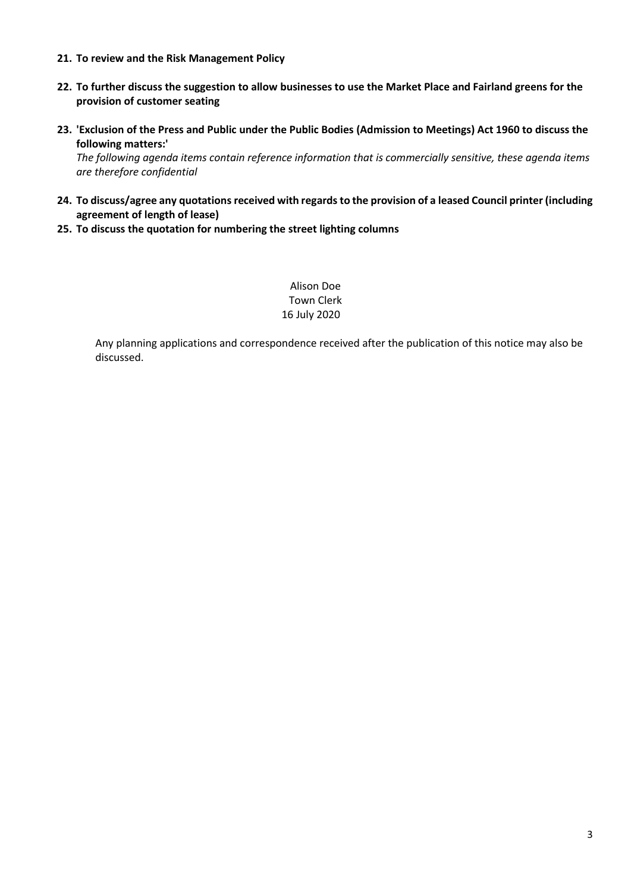- **21. To review and the Risk Management Policy**
- **22. To further discuss the suggestion to allow businesses to use the Market Place and Fairland greens for the provision of customer seating**
- **23. 'Exclusion of the Press and Public under the Public Bodies (Admission to Meetings) Act 1960 to discuss the following matters:'**

*The following agenda items contain reference information that is commercially sensitive, these agenda items are therefore confidential* 

- 24. To discuss/agree any quotations received with regards to the provision of a leased Council printer (including **agreement of length of lease)**
- **25. To discuss the quotation for numbering the street lighting columns**

Alison Doe Town Clerk 16 July 2020

Any planning applications and correspondence received after the publication of this notice may also be discussed.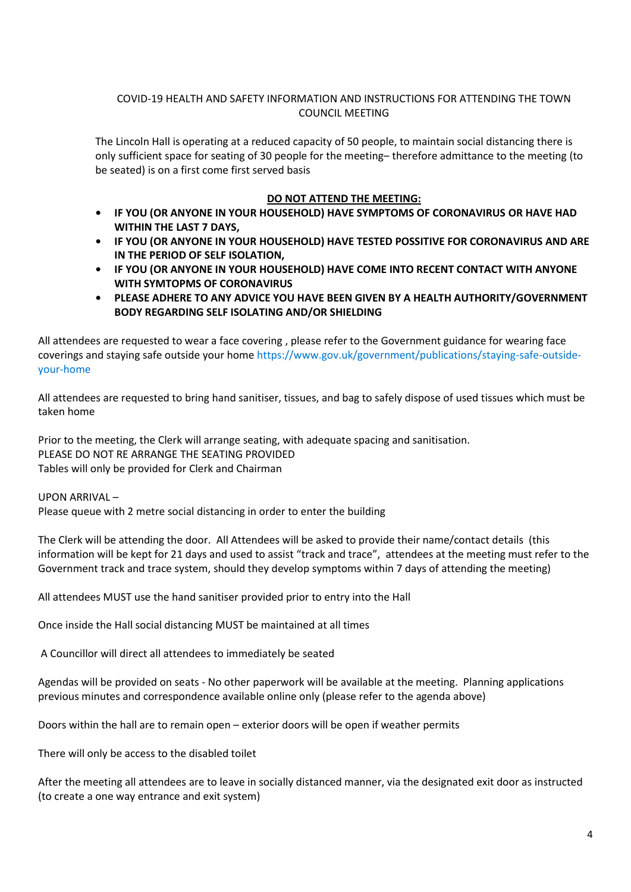# COVID-19 HEALTH AND SAFETY INFORMATION AND INSTRUCTIONS FOR ATTENDING THE TOWN COUNCIL MEETING

The Lincoln Hall is operating at a reduced capacity of 50 people, to maintain social distancing there is only sufficient space for seating of 30 people for the meeting– therefore admittance to the meeting (to be seated) is on a first come first served basis

#### **DO NOT ATTEND THE MEETING:**

- **• IF YOU (OR ANYONE IN YOUR HOUSEHOLD) HAVE SYMPTOMS OF CORONAVIRUS OR HAVE HAD WITHIN THE LAST 7 DAYS,**
- **• IF YOU (OR ANYONE IN YOUR HOUSEHOLD) HAVE TESTED POSSITIVE FOR CORONAVIRUS AND ARE IN THE PERIOD OF SELF ISOLATION,**
- **• IF YOU (OR ANYONE IN YOUR HOUSEHOLD) HAVE COME INTO RECENT CONTACT WITH ANYONE WITH SYMTOPMS OF CORONAVIRUS**
- **• PLEASE ADHERE TO ANY ADVICE YOU HAVE BEEN GIVEN BY A HEALTH AUTHORITY/GOVERNMENT BODY REGARDING SELF ISOLATING AND/OR SHIELDING**

All attendees are requested to wear a face covering , please refer to the Government guidance for wearing face coverings and staying safe outside your hom[e https://www.gov.uk/government/publications/staying-safe-outside](https://www.gov.uk/government/publications/staying-safe-outside-your-home)[your-home](https://www.gov.uk/government/publications/staying-safe-outside-your-home)

All attendees are requested to bring hand sanitiser, tissues, and bag to safely dispose of used tissues which must be taken home

Prior to the meeting, the Clerk will arrange seating, with adequate spacing and sanitisation. PLEASE DO NOT RE ARRANGE THE SEATING PROVIDED Tables will only be provided for Clerk and Chairman

UPON ARRIVAL –

Please queue with 2 metre social distancing in order to enter the building

The Clerk will be attending the door. All Attendees will be asked to provide their name/contact details (this information will be kept for 21 days and used to assist "track and trace", attendees at the meeting must refer to the Government track and trace system, should they develop symptoms within 7 days of attending the meeting)

All attendees MUST use the hand sanitiser provided prior to entry into the Hall

Once inside the Hall social distancing MUST be maintained at all times

A Councillor will direct all attendees to immediately be seated

Agendas will be provided on seats - No other paperwork will be available at the meeting. Planning applications previous minutes and correspondence available online only (please refer to the agenda above)

Doors within the hall are to remain open – exterior doors will be open if weather permits

There will only be access to the disabled toilet

After the meeting all attendees are to leave in socially distanced manner, via the designated exit door as instructed (to create a one way entrance and exit system)